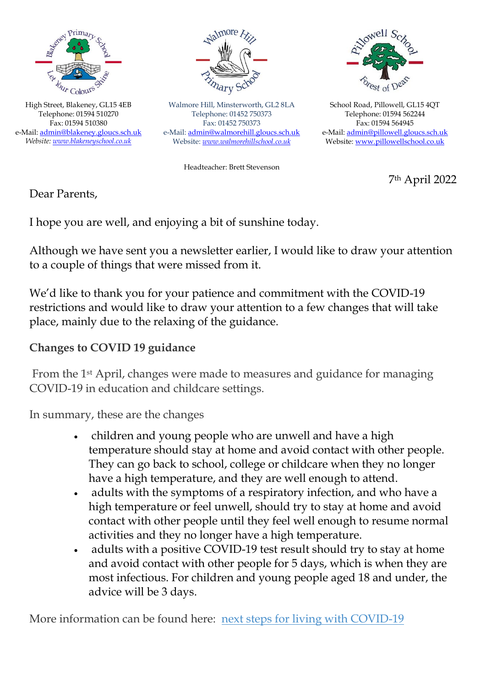

High Street, Blakeney, GL15 4EB Telephone: 01594 510270 Fax: 01594 510380 e-Mail: [admin@blakeney.gloucs.sch.uk](mailto:admin@blakeney.gloucs.sch.uk) *Website[: www.blakeneyschool.co.uk](http://www.blakeneyschool.co.uk/)*



Walmore Hill, Minsterworth, GL2 8LA Telephone: 01452 750373 Fax: 01452 750373 e-Mail[: admin@walmorehill.gloucs.sch.uk](mailto:admin@walmorehill.gloucs.sch.uk) Website: *[www.walmorehillschool.co.uk](http://www.walmorehillschool.co.uk/)*



School Road, Pillowell, GL15 4QT Telephone: 01594 562244 Fax: 01594 564945 e-Mail: [admin@pillowell.gloucs.sch.uk](mailto:admin@pillowell.gloucs.sch.uk) Website[: www.pillowellschool.co.uk](http://www.pillowellschool.co.uk/)

Headteacher: Brett Stevenson

7th April 2022

Dear Parents,

I hope you are well, and enjoying a bit of sunshine today.

Although we have sent you a newsletter earlier, I would like to draw your attention to a couple of things that were missed from it.

We'd like to thank you for your patience and commitment with the COVID-19 restrictions and would like to draw your attention to a few changes that will take place, mainly due to the relaxing of the guidance.

## **Changes to COVID 19 guidance**

From the 1st April, changes were made to measures and guidance for managing COVID-19 in education and childcare settings.

In summary, these are the changes

- children and young people who are unwell and have a high temperature should stay at home and avoid contact with other people. They can go back to school, college or childcare when they no longer have a high temperature, and they are well enough to attend.
- adults with the symptoms of a respiratory infection, and who have a high temperature or feel unwell, should try to stay at home and avoid contact with other people until they feel well enough to resume normal activities and they no longer have a high temperature.
- adults with a positive COVID-19 test result should try to stay at home and avoid contact with other people for 5 days, which is when they are most infectious. For children and young people aged 18 and under, the advice will be 3 days.

More information can be found here: [next steps for living with COVID-19](https://www.gov.uk/government/news/government-sets-out-next-steps-for-living-with-covid?utm_source=31%20March%202022%20C19&utm_medium=Daily%20Email%20C19&utm_campaign=DfE%20C19)